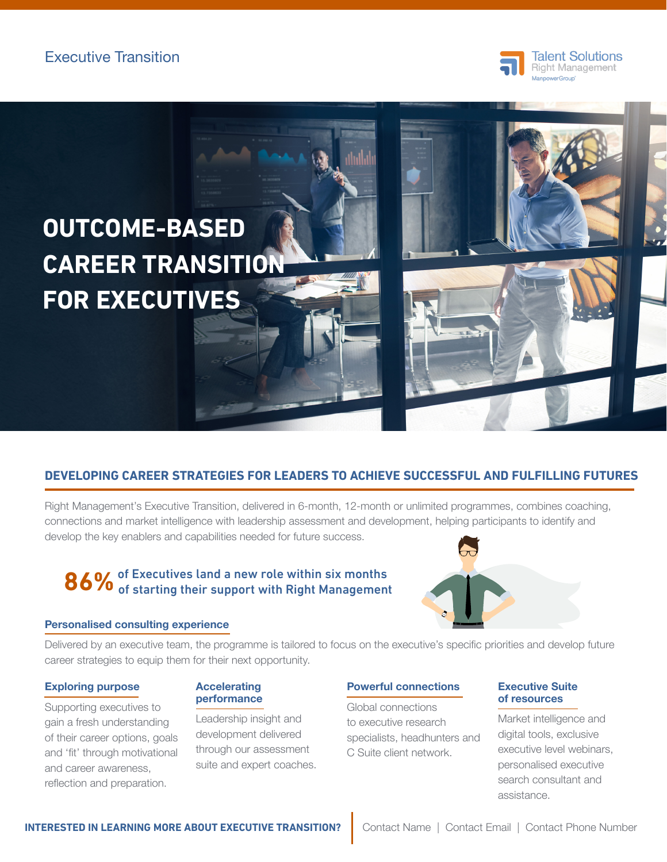



# **DEVELOPING CAREER STRATEGIES FOR LEADERS TO ACHIEVE SUCCESSFUL AND FULFILLING FUTURES**

Right Management's Executive Transition, delivered in 6-month, 12-month or unlimited programmes, combines coaching, connections and market intelligence with leadership assessment and development, helping participants to identify and develop the key enablers and capabilities needed for future success.

# 86% of Executives land a new role within six months<br>86% of starting their support with Right Management

## Personalised consulting experience



Delivered by an executive team, the programme is tailored to focus on the executive's specific priorities and develop future career strategies to equip them for their next opportunity.

## Exploring purpose

Supporting executives to gain a fresh understanding of their career options, goals and 'fit' through motivational and career awareness, reflection and preparation.

### **Accelerating** performance

Leadership insight and development delivered through our assessment suite and expert coaches.

## Powerful connections

Global connections to executive research specialists, headhunters and C Suite client network.

### Executive Suite of resources

Market intelligence and digital tools, exclusive executive level webinars, personalised executive search consultant and assistance.

**INTERESTED IN LEARNING MORE ABOUT EXECUTIVE TRANSITION?** Contact Name | Contact Email | Contact Phone Number